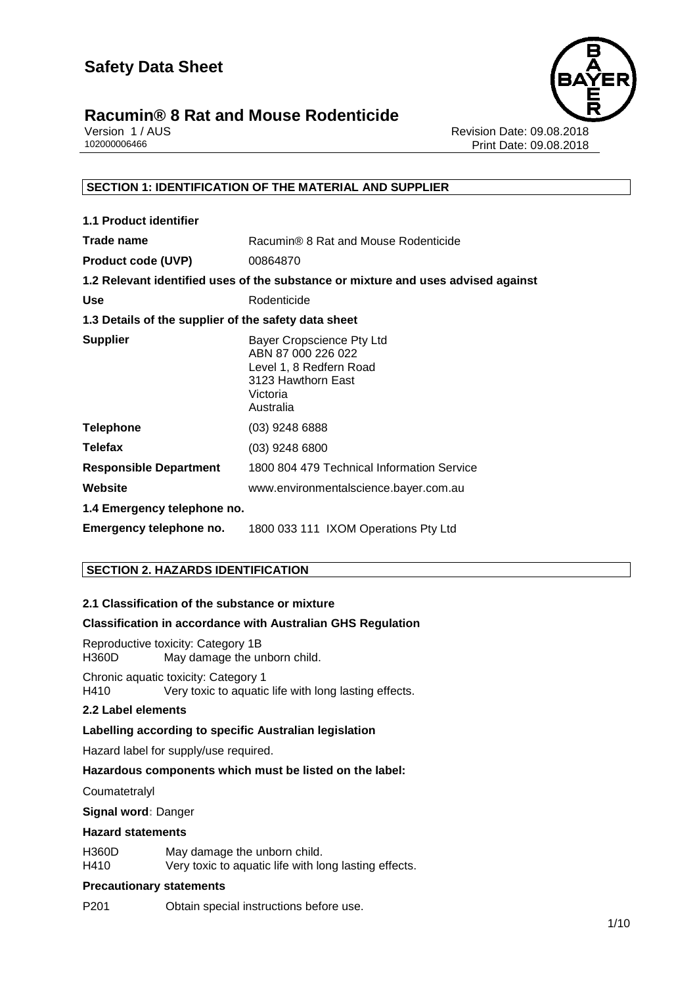



Version 1 / AUS<br>10200006466<br>Print Date: 09.08.2018<br>Print Date: 09.08.2018 Print Date: 09.08.2018

#### **SECTION 1: IDENTIFICATION OF THE MATERIAL AND SUPPLIER**

| <b>1.1 Product identifier</b>                        |                                                                                                                           |  |  |
|------------------------------------------------------|---------------------------------------------------------------------------------------------------------------------------|--|--|
| Trade name                                           | Racumin® 8 Rat and Mouse Rodenticide                                                                                      |  |  |
| <b>Product code (UVP)</b>                            | 00864870                                                                                                                  |  |  |
|                                                      | 1.2 Relevant identified uses of the substance or mixture and uses advised against                                         |  |  |
| <b>Use</b>                                           | Rodenticide                                                                                                               |  |  |
| 1.3 Details of the supplier of the safety data sheet |                                                                                                                           |  |  |
| <b>Supplier</b>                                      | Bayer Cropscience Pty Ltd<br>ABN 87 000 226 022<br>Level 1, 8 Redfern Road<br>3123 Hawthorn East<br>Victoria<br>Australia |  |  |
| <b>Telephone</b>                                     | $(03)$ 9248 6888                                                                                                          |  |  |
| <b>Telefax</b>                                       | (03) 9248 6800                                                                                                            |  |  |
| <b>Responsible Department</b>                        | 1800 804 479 Technical Information Service                                                                                |  |  |
| Website                                              | www.environmentalscience.bayer.com.au                                                                                     |  |  |
| 1.4 Emergency telephone no.                          |                                                                                                                           |  |  |
| Emergency telephone no.                              | 1800 033 111 IXOM Operations Pty Ltd                                                                                      |  |  |

#### **SECTION 2. HAZARDS IDENTIFICATION**

#### **2.1 Classification of the substance or mixture**

#### **Classification in accordance with Australian GHS Regulation**

Reproductive toxicity: Category 1B H360D May damage the unborn child.

Chronic aquatic toxicity: Category 1 H410 Very toxic to aquatic life with long lasting effects.

#### **2.2 Label elements**

#### **Labelling according to specific Australian legislation**

Hazard label for supply/use required.

#### **Hazardous components which must be listed on the label:**

**Coumatetralyl** 

**Signal word:** Danger

#### **Hazard statements**

H360D May damage the unborn child. H410 Very toxic to aquatic life with long lasting effects.

#### **Precautionary statements**

P201 Obtain special instructions before use.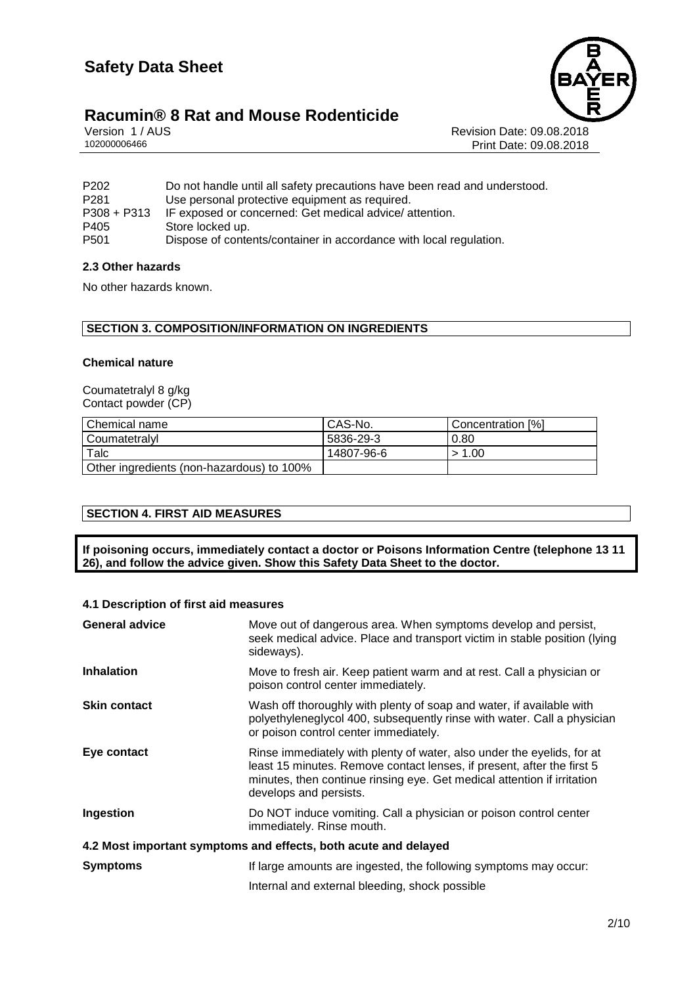

#### **Racumin® 8 Rat and Mouse Rodenticide 2/10**

|              | Version 1 / AUS |
|--------------|-----------------|
| 102000006466 |                 |

Revision Date: 09.08.2018 Print Date: 09.08.2018

| Do not handle until all safety precautions have been read and understood. |
|---------------------------------------------------------------------------|
| Use personal protective equipment as required.                            |
| IF exposed or concerned: Get medical advice/ attention.                   |
| Store locked up.                                                          |
| Dispose of contents/container in accordance with local regulation.        |
|                                                                           |

#### **2.3 Other hazards**

No other hazards known.

#### **SECTION 3. COMPOSITION/INFORMATION ON INGREDIENTS**

#### **Chemical nature**

Coumatetralyl 8 g/kg Contact powder (CP)

| Chemical name                             | CAS-No.    | Concentration [%] |
|-------------------------------------------|------------|-------------------|
| Coumatetralyl                             | 5836-29-3  | 0.80              |
| Talc                                      | 14807-96-6 | > 1.00            |
| Other ingredients (non-hazardous) to 100% |            |                   |

#### **SECTION 4. FIRST AID MEASURES**

**If poisoning occurs, immediately contact a doctor or Poisons Information Centre (telephone 13 11 26), and follow the advice given. Show this Safety Data Sheet to the doctor.**

#### **4.1 Description of first aid measures**

| <b>General advice</b>                                           | Move out of dangerous area. When symptoms develop and persist,<br>seek medical advice. Place and transport victim in stable position (lying<br>sideways).                                                                                             |  |  |
|-----------------------------------------------------------------|-------------------------------------------------------------------------------------------------------------------------------------------------------------------------------------------------------------------------------------------------------|--|--|
| <b>Inhalation</b>                                               | Move to fresh air. Keep patient warm and at rest. Call a physician or<br>poison control center immediately.                                                                                                                                           |  |  |
| <b>Skin contact</b>                                             | Wash off thoroughly with plenty of soap and water, if available with<br>polyethyleneglycol 400, subsequently rinse with water. Call a physician<br>or poison control center immediately.                                                              |  |  |
| Eye contact                                                     | Rinse immediately with plenty of water, also under the eyelids, for at<br>least 15 minutes. Remove contact lenses, if present, after the first 5<br>minutes, then continue rinsing eye. Get medical attention if irritation<br>develops and persists. |  |  |
| Ingestion                                                       | Do NOT induce vomiting. Call a physician or poison control center<br>immediately. Rinse mouth.                                                                                                                                                        |  |  |
| 4.2 Most important symptoms and effects, both acute and delayed |                                                                                                                                                                                                                                                       |  |  |
| <b>Symptoms</b>                                                 | If large amounts are ingested, the following symptoms may occur:                                                                                                                                                                                      |  |  |
|                                                                 | Internal and external bleeding, shock possible                                                                                                                                                                                                        |  |  |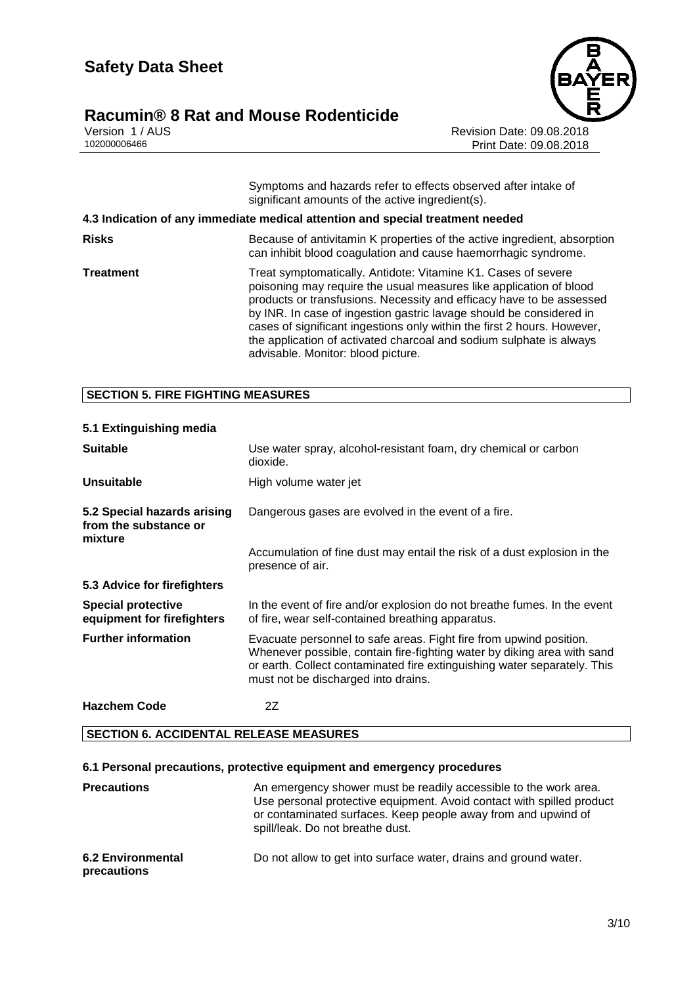#### **Racumin® 8 Rat and Mouse Rodenticide 3/10**



Version 1 / AUS<br>10200006466<br>Print Date: 09.08.2018<br>Print Date: 09.08.2018 Print Date: 09.08.2018

| Symptoms and hazards refer to effects observed after intake of                 |  |  |
|--------------------------------------------------------------------------------|--|--|
| significant amounts of the active ingredient(s).                               |  |  |
| 4.3 Indication of any immediate medical attention and special treatment needed |  |  |

**Risks** Because of antivitamin K properties of the active ingredient, absorption can inhibit blood coagulation and cause haemorrhagic syndrome.

**Treatment** Treat symptomatically. Antidote: Vitamine K1. Cases of severe poisoning may require the usual measures like application of blood products or transfusions. Necessity and efficacy have to be assessed by INR. In case of ingestion gastric lavage should be considered in cases of significant ingestions only within the first 2 hours. However, the application of activated charcoal and sodium sulphate is always advisable. Monitor: blood picture.

#### **SECTION 5. FIRE FIGHTING MEASURES**

| 5.1 Extinguishing media                                         |                                                                                                                                                                                                                                                                  |
|-----------------------------------------------------------------|------------------------------------------------------------------------------------------------------------------------------------------------------------------------------------------------------------------------------------------------------------------|
| <b>Suitable</b>                                                 | Use water spray, alcohol-resistant foam, dry chemical or carbon<br>dioxide.                                                                                                                                                                                      |
| <b>Unsuitable</b>                                               | High volume water jet                                                                                                                                                                                                                                            |
| 5.2 Special hazards arising<br>from the substance or<br>mixture | Dangerous gases are evolved in the event of a fire.                                                                                                                                                                                                              |
|                                                                 | Accumulation of fine dust may entail the risk of a dust explosion in the<br>presence of air.                                                                                                                                                                     |
| 5.3 Advice for firefighters                                     |                                                                                                                                                                                                                                                                  |
| <b>Special protective</b><br>equipment for firefighters         | In the event of fire and/or explosion do not breathe fumes. In the event<br>of fire, wear self-contained breathing apparatus.                                                                                                                                    |
| <b>Further information</b>                                      | Evacuate personnel to safe areas. Fight fire from upwind position.<br>Whenever possible, contain fire-fighting water by diking area with sand<br>or earth. Collect contaminated fire extinguishing water separately. This<br>must not be discharged into drains. |
| <b>Hazchem Code</b>                                             | 2Ζ                                                                                                                                                                                                                                                               |

#### **SECTION 6. ACCIDENTAL RELEASE MEASURES**

#### **6.1 Personal precautions, protective equipment and emergency procedures**

| <b>Precautions</b>                      | An emergency shower must be readily accessible to the work area.<br>Use personal protective equipment. Avoid contact with spilled product<br>or contaminated surfaces. Keep people away from and upwind of<br>spill/leak. Do not breathe dust. |
|-----------------------------------------|------------------------------------------------------------------------------------------------------------------------------------------------------------------------------------------------------------------------------------------------|
| <b>6.2 Environmental</b><br>precautions | Do not allow to get into surface water, drains and ground water.                                                                                                                                                                               |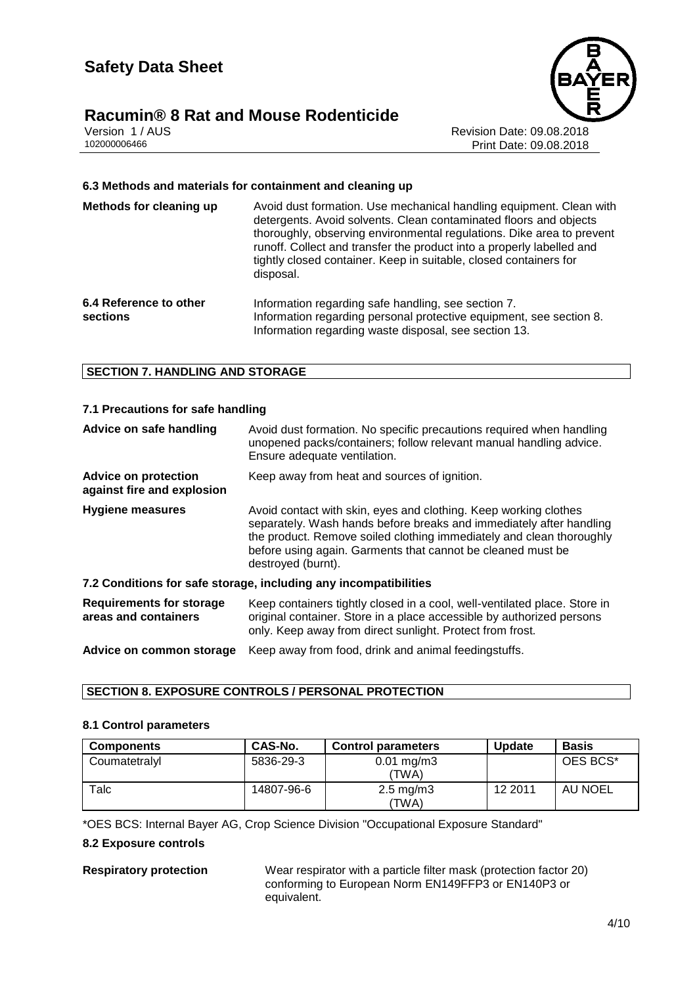## **Racumin® 8 Rat and Mouse Rodenticide**<br>Version 1/AUS



Version 1 / AUS<br>10200006466<br>Print Date: 09.08.2018<br>Print Date: 09.08.2018 Print Date: 09.08.2018

#### **6.3 Methods and materials for containment and cleaning up**

| Methods for cleaning up | Avoid dust formation. Use mechanical handling equipment. Clean with<br>detergents. Avoid solvents. Clean contaminated floors and objects<br>thoroughly, observing environmental regulations. Dike area to prevent<br>runoff. Collect and transfer the product into a properly labelled and<br>tightly closed container. Keep in suitable, closed containers for<br>disposal. |
|-------------------------|------------------------------------------------------------------------------------------------------------------------------------------------------------------------------------------------------------------------------------------------------------------------------------------------------------------------------------------------------------------------------|
| 6.4 Reference to other  | Information regarding safe handling, see section 7.                                                                                                                                                                                                                                                                                                                          |
| sections                | Information regarding personal protective equipment, see section 8.                                                                                                                                                                                                                                                                                                          |

Information regarding waste disposal, see section 13.

#### **SECTION 7. HANDLING AND STORAGE**

#### **7.1 Precautions for safe handling**

| Advice on safe handling                                          | Avoid dust formation. No specific precautions required when handling<br>unopened packs/containers; follow relevant manual handling advice.<br>Ensure adequate ventilation.                                                                                                                           |  |  |
|------------------------------------------------------------------|------------------------------------------------------------------------------------------------------------------------------------------------------------------------------------------------------------------------------------------------------------------------------------------------------|--|--|
| <b>Advice on protection</b><br>against fire and explosion        | Keep away from heat and sources of ignition.                                                                                                                                                                                                                                                         |  |  |
| <b>Hygiene measures</b>                                          | Avoid contact with skin, eyes and clothing. Keep working clothes<br>separately. Wash hands before breaks and immediately after handling<br>the product. Remove soiled clothing immediately and clean thoroughly<br>before using again. Garments that cannot be cleaned must be<br>destroyed (burnt). |  |  |
| 7.2 Conditions for safe storage, including any incompatibilities |                                                                                                                                                                                                                                                                                                      |  |  |
| <b>Requirements for storage</b><br>areas and containers          | Keep containers tightly closed in a cool, well-ventilated place. Store in<br>original container. Store in a place accessible by authorized persons<br>only. Keep away from direct sunlight. Protect from frost.                                                                                      |  |  |
| Advice on common storage                                         | Keep away from food, drink and animal feedingstuffs.                                                                                                                                                                                                                                                 |  |  |

#### **SECTION 8. EXPOSURE CONTROLS / PERSONAL PROTECTION**

#### **8.1 Control parameters**

| <b>Components</b> | CAS-No.    | <b>Control parameters</b>        | <b>Update</b> | <b>Basis</b> |
|-------------------|------------|----------------------------------|---------------|--------------|
| Coumatetralyl     | 5836-29-3  | $0.01 \,\mathrm{mg/m3}$<br>'TWA) |               | OES BCS*     |
| Talc              | 14807-96-6 | $2.5 \text{ mg/m}$<br>'TWA)      | 12 2011       | AU NOEL      |

\*OES BCS: Internal Bayer AG, Crop Science Division "Occupational Exposure Standard"

#### **8.2 Exposure controls**

**Respiratory protection** Wear respirator with a particle filter mask (protection factor 20) conforming to European Norm EN149FFP3 or EN140P3 or equivalent.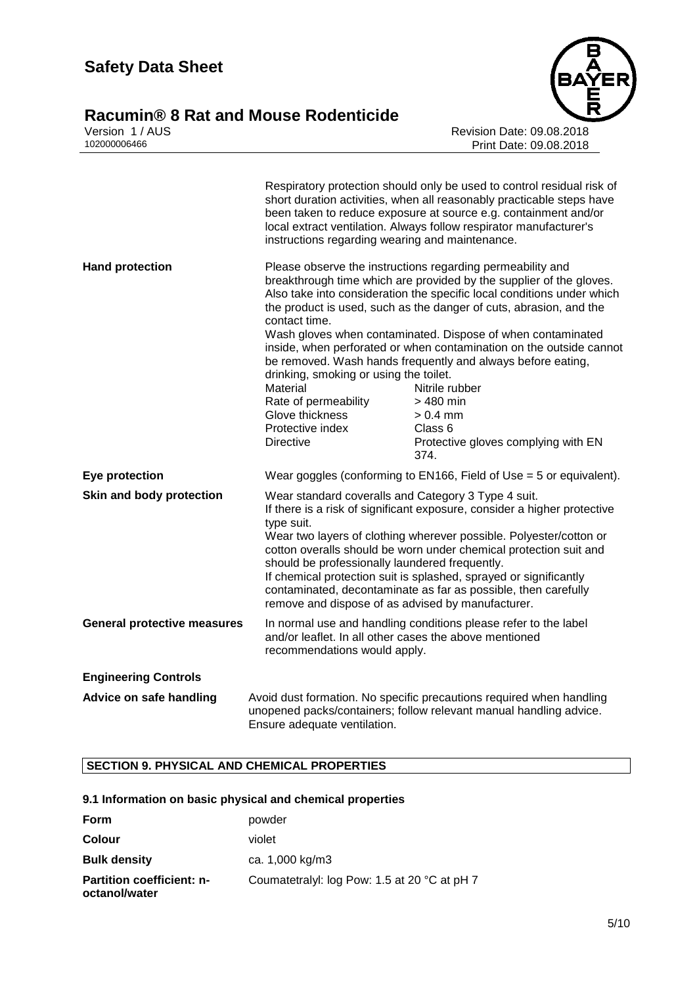# **Racumin® 8 Rat and Mouse Rodenticide**<br> **502000006466**<br>
102000006466



Revision Date: 09.08.2018 Print Date: 09.08.2018

|                                    | Respiratory protection should only be used to control residual risk of<br>short duration activities, when all reasonably practicable steps have<br>been taken to reduce exposure at source e.g. containment and/or<br>local extract ventilation. Always follow respirator manufacturer's<br>instructions regarding wearing and maintenance.                                                                                                                                                                                            |                                                                                                                                                                                                                                                                                                                                                                                                                                                                                                                                                                                               |  |
|------------------------------------|----------------------------------------------------------------------------------------------------------------------------------------------------------------------------------------------------------------------------------------------------------------------------------------------------------------------------------------------------------------------------------------------------------------------------------------------------------------------------------------------------------------------------------------|-----------------------------------------------------------------------------------------------------------------------------------------------------------------------------------------------------------------------------------------------------------------------------------------------------------------------------------------------------------------------------------------------------------------------------------------------------------------------------------------------------------------------------------------------------------------------------------------------|--|
| <b>Hand protection</b>             | contact time.<br>drinking, smoking or using the toilet.<br>Material<br>Rate of permeability<br>Glove thickness<br>Protective index<br><b>Directive</b>                                                                                                                                                                                                                                                                                                                                                                                 | Please observe the instructions regarding permeability and<br>breakthrough time which are provided by the supplier of the gloves.<br>Also take into consideration the specific local conditions under which<br>the product is used, such as the danger of cuts, abrasion, and the<br>Wash gloves when contaminated. Dispose of when contaminated<br>inside, when perforated or when contamination on the outside cannot<br>be removed. Wash hands frequently and always before eating,<br>Nitrile rubber<br>> 480 min<br>$> 0.4$ mm<br>Class 6<br>Protective gloves complying with EN<br>374. |  |
| Eye protection                     |                                                                                                                                                                                                                                                                                                                                                                                                                                                                                                                                        | Wear goggles (conforming to EN166, Field of Use = 5 or equivalent).                                                                                                                                                                                                                                                                                                                                                                                                                                                                                                                           |  |
| Skin and body protection           | Wear standard coveralls and Category 3 Type 4 suit.<br>If there is a risk of significant exposure, consider a higher protective<br>type suit.<br>Wear two layers of clothing wherever possible. Polyester/cotton or<br>cotton overalls should be worn under chemical protection suit and<br>should be professionally laundered frequently.<br>If chemical protection suit is splashed, sprayed or significantly<br>contaminated, decontaminate as far as possible, then carefully<br>remove and dispose of as advised by manufacturer. |                                                                                                                                                                                                                                                                                                                                                                                                                                                                                                                                                                                               |  |
| <b>General protective measures</b> | In normal use and handling conditions please refer to the label<br>and/or leaflet. In all other cases the above mentioned<br>recommendations would apply.                                                                                                                                                                                                                                                                                                                                                                              |                                                                                                                                                                                                                                                                                                                                                                                                                                                                                                                                                                                               |  |
| <b>Engineering Controls</b>        |                                                                                                                                                                                                                                                                                                                                                                                                                                                                                                                                        |                                                                                                                                                                                                                                                                                                                                                                                                                                                                                                                                                                                               |  |
| Advice on safe handling            | Avoid dust formation. No specific precautions required when handling<br>unopened packs/containers; follow relevant manual handling advice.<br>Ensure adequate ventilation.                                                                                                                                                                                                                                                                                                                                                             |                                                                                                                                                                                                                                                                                                                                                                                                                                                                                                                                                                                               |  |

#### **SECTION 9. PHYSICAL AND CHEMICAL PROPERTIES**

#### **9.1 Information on basic physical and chemical properties**

| <b>Form</b>                                       | powder                                       |
|---------------------------------------------------|----------------------------------------------|
| Colour                                            | violet                                       |
| <b>Bulk density</b>                               | ca. 1,000 kg/m3                              |
| <b>Partition coefficient: n-</b><br>octanol/water | Coumatetralyl: log Pow: 1.5 at 20 °C at pH 7 |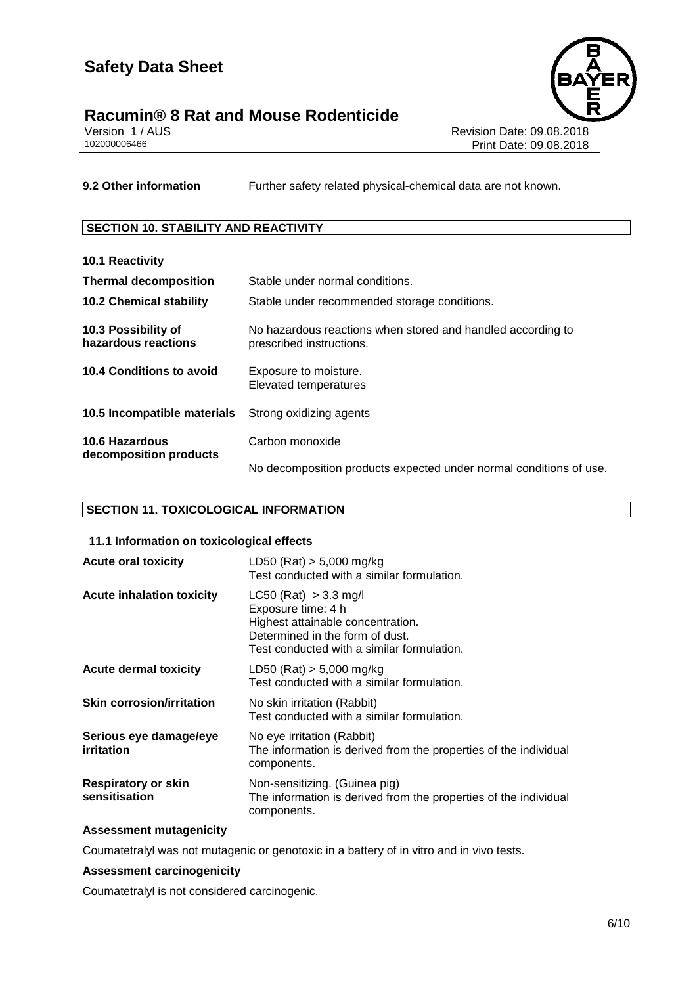## **Racumin® 8 Rat and Mouse Rodenticide**<br>Version 1/AUS

Version 1 / AUS<br>10200006466<br>Print Date: 09.08.2018<br>Print Date: 09.08.2018 Print Date: 09.08.2018

**9.2 Other information** Further safety related physical-chemical data are not known.

#### **SECTION 10. STABILITY AND REACTIVITY**

| <b>10.1 Reactivity</b>                     |                                                                                         |
|--------------------------------------------|-----------------------------------------------------------------------------------------|
| <b>Thermal decomposition</b>               | Stable under normal conditions.                                                         |
| <b>10.2 Chemical stability</b>             | Stable under recommended storage conditions.                                            |
| 10.3 Possibility of<br>hazardous reactions | No hazardous reactions when stored and handled according to<br>prescribed instructions. |
| 10.4 Conditions to avoid                   | Exposure to moisture.<br>Elevated temperatures                                          |
| 10.5 Incompatible materials                | Strong oxidizing agents                                                                 |
| 10.6 Hazardous<br>decomposition products   | Carbon monoxide                                                                         |
|                                            | No decomposition products expected under normal conditions of use.                      |

#### **SECTION 11. TOXICOLOGICAL INFORMATION**

#### **11.1 Information on toxicological effects**

| <b>Acute oral toxicity</b>                  | LD50 (Rat) $> 5,000$ mg/kg<br>Test conducted with a similar formulation.                                                                                            |
|---------------------------------------------|---------------------------------------------------------------------------------------------------------------------------------------------------------------------|
| <b>Acute inhalation toxicity</b>            | $LC50$ (Rat) > 3.3 mg/l<br>Exposure time: 4 h<br>Highest attainable concentration.<br>Determined in the form of dust.<br>Test conducted with a similar formulation. |
| <b>Acute dermal toxicity</b>                | LD50 (Rat) $> 5,000$ mg/kg<br>Test conducted with a similar formulation.                                                                                            |
| <b>Skin corrosion/irritation</b>            | No skin irritation (Rabbit)<br>Test conducted with a similar formulation.                                                                                           |
| Serious eye damage/eye<br>irritation        | No eye irritation (Rabbit)<br>The information is derived from the properties of the individual<br>components.                                                       |
| <b>Respiratory or skin</b><br>sensitisation | Non-sensitizing. (Guinea pig)<br>The information is derived from the properties of the individual<br>components.                                                    |

#### **Assessment mutagenicity**

Coumatetralyl was not mutagenic or genotoxic in a battery of in vitro and in vivo tests.

#### **Assessment carcinogenicity**

Coumatetralyl is not considered carcinogenic.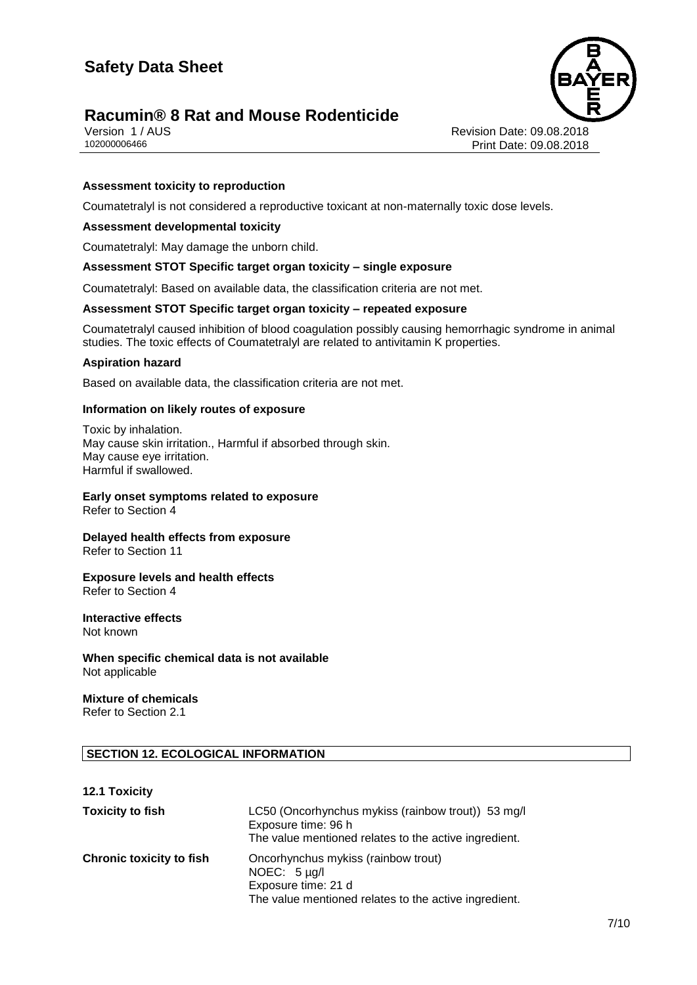#### **Racumin® 8 Rat and Mouse Rodenticide 7/10**



Version 1 / AUS<br>10200006466<br>Print Date: 09.08.2018<br>Print Date: 09.08.2018 Print Date: 09.08.2018

#### **Assessment toxicity to reproduction**

Coumatetralyl is not considered a reproductive toxicant at non-maternally toxic dose levels.

#### **Assessment developmental toxicity**

Coumatetralyl: May damage the unborn child.

#### **Assessment STOT Specific target organ toxicity – single exposure**

Coumatetralyl: Based on available data, the classification criteria are not met.

#### **Assessment STOT Specific target organ toxicity – repeated exposure**

Coumatetralyl caused inhibition of blood coagulation possibly causing hemorrhagic syndrome in animal studies. The toxic effects of Coumatetralyl are related to antivitamin K properties.

#### **Aspiration hazard**

Based on available data, the classification criteria are not met.

#### **Information on likely routes of exposure**

Toxic by inhalation. May cause skin irritation., Harmful if absorbed through skin. May cause eye irritation. Harmful if swallowed.

### **Early onset symptoms related to exposure**

Refer to Section 4

#### **Delayed health effects from exposure** Refer to Section 11

#### **Exposure levels and health effects** Refer to Section 4

#### **Interactive effects**

Not known

**When specific chemical data is not available** Not applicable

**Mixture of chemicals** Refer to Section 2.1

#### **SECTION 12. ECOLOGICAL INFORMATION**

#### **12.1 Toxicity**

| <b>Toxicity to fish</b>         | LC50 (Oncorhynchus mykiss (rainbow trout)) 53 mg/l<br>Exposure time: 96 h<br>The value mentioned relates to the active ingredient.       |
|---------------------------------|------------------------------------------------------------------------------------------------------------------------------------------|
| <b>Chronic toxicity to fish</b> | Oncorhynchus mykiss (rainbow trout)<br>NOEC: $5 \mu g/l$<br>Exposure time: 21 d<br>The value mentioned relates to the active ingredient. |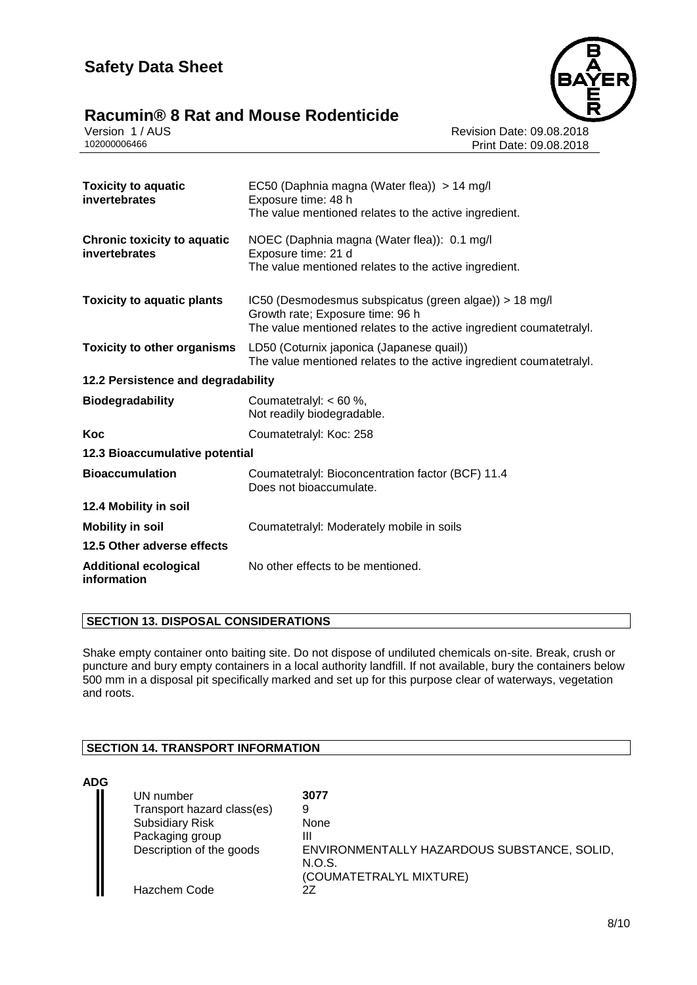## **Racumin® 8 Rat and Mouse Rodenticide**<br>Version 1/AUS



Version 1 / AUS<br>10200006466<br>Print Date: 09.08.2018<br>Print Date: 09.08.2018 Print Date: 09.08.2018

| <b>Toxicity to aquatic</b><br>invertebrates         | EC50 (Daphnia magna (Water flea)) > 14 mg/l<br>Exposure time: 48 h<br>The value mentioned relates to the active ingredient.                                       |
|-----------------------------------------------------|-------------------------------------------------------------------------------------------------------------------------------------------------------------------|
| <b>Chronic toxicity to aquatic</b><br>invertebrates | NOEC (Daphnia magna (Water flea)): 0.1 mg/l<br>Exposure time: 21 d<br>The value mentioned relates to the active ingredient.                                       |
| <b>Toxicity to aquatic plants</b>                   | IC50 (Desmodesmus subspicatus (green algae)) > 18 mg/l<br>Growth rate; Exposure time: 96 h<br>The value mentioned relates to the active ingredient coumatetralyl. |
| <b>Toxicity to other organisms</b>                  | LD50 (Coturnix japonica (Japanese quail))<br>The value mentioned relates to the active ingredient coumatetralyl.                                                  |
| 12.2 Persistence and degradability                  |                                                                                                                                                                   |
| <b>Biodegradability</b>                             | Coumatetralyl: $< 60 %$ ,<br>Not readily biodegradable.                                                                                                           |
| Koc                                                 | Coumatetralyl: Koc: 258                                                                                                                                           |
| 12.3 Bioaccumulative potential                      |                                                                                                                                                                   |
| <b>Bioaccumulation</b>                              | Coumatetralyl: Bioconcentration factor (BCF) 11.4<br>Does not bioaccumulate.                                                                                      |
| 12.4 Mobility in soil                               |                                                                                                                                                                   |
| <b>Mobility in soil</b>                             | Coumatetralyl: Moderately mobile in soils                                                                                                                         |
| 12.5 Other adverse effects                          |                                                                                                                                                                   |
| <b>Additional ecological</b><br>information         | No other effects to be mentioned.                                                                                                                                 |

#### **SECTION 13. DISPOSAL CONSIDERATIONS**

Shake empty container onto baiting site. Do not dispose of undiluted chemicals on-site. Break, crush or puncture and bury empty containers in a local authority landfill. If not available, bury the containers below 500 mm in a disposal pit specifically marked and set up for this purpose clear of waterways, vegetation and roots.

#### **SECTION 14. TRANSPORT INFORMATION**

| <b>ADG</b> |                            |                                                       |
|------------|----------------------------|-------------------------------------------------------|
|            | UN number                  | 3077                                                  |
|            | Transport hazard class(es) | 9                                                     |
|            | <b>Subsidiary Risk</b>     | None                                                  |
|            | Packaging group            | Ш                                                     |
|            | Description of the goods   | ENVIRONMENTALLY HAZARDOUS SUBSTANCE, SOLID,<br>N.O.S. |
|            | Hazchem Code               | (COUMATETRALYL MIXTURE)<br>27                         |
|            |                            |                                                       |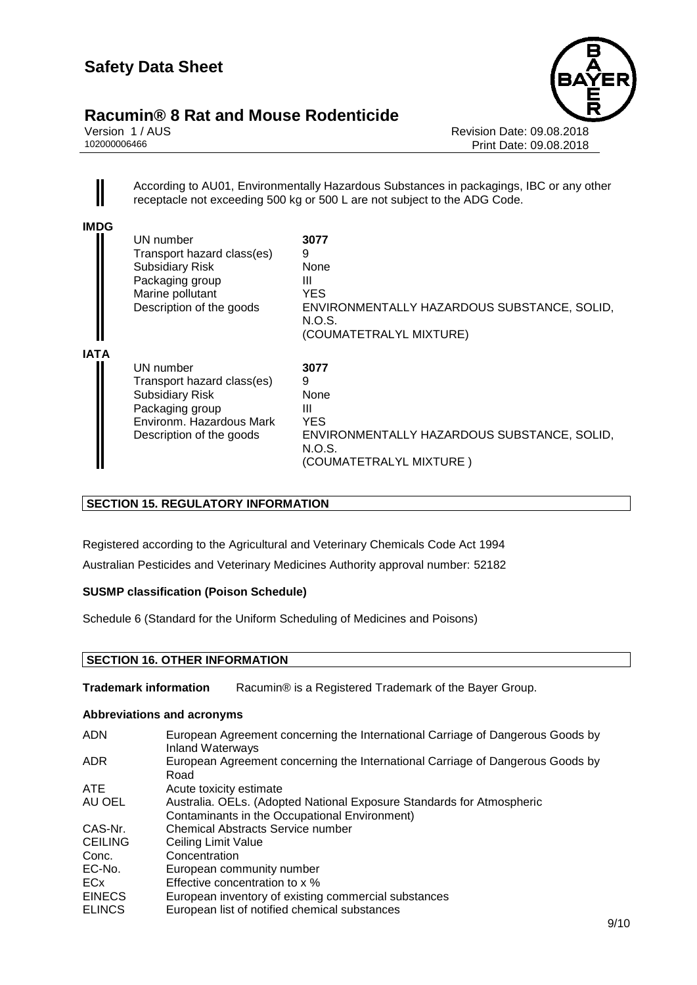### **Racumin® 8 Rat and Mouse Rodenticide 9/10**



Version 1 / AUS<br>10200006466<br>Print Date: 09.08.2018<br>Print Date: 09.08.2018 Print Date: 09.08.2018

According to AU01, Environmentally Hazardous Substances in packagings, IBC or any other receptacle not exceeding 500 kg or 500 L are not subject to the ADG Code.

| <b>IMDG</b> |                                                                                                                                              |                                                                                                                                 |
|-------------|----------------------------------------------------------------------------------------------------------------------------------------------|---------------------------------------------------------------------------------------------------------------------------------|
|             | UN number<br>Transport hazard class(es)<br><b>Subsidiary Risk</b><br>Packaging group<br>Marine pollutant<br>Description of the goods         | 3077<br>9<br>None<br>Ш<br><b>YES</b><br>ENVIRONMENTALLY HAZARDOUS SUBSTANCE, SOLID,<br>N.O.S.<br>(COUMATETRALYL MIXTURE)        |
| <b>IATA</b> | UN number<br>Transport hazard class(es)<br><b>Subsidiary Risk</b><br>Packaging group<br>Environm. Hazardous Mark<br>Description of the goods | 3077<br>9<br><b>None</b><br>Ш<br><b>YES</b><br>ENVIRONMENTALLY HAZARDOUS SUBSTANCE, SOLID,<br>N.O.S.<br>(COUMATETRALYL MIXTURE) |

#### **SECTION 15. REGULATORY INFORMATION**

Registered according to the Agricultural and Veterinary Chemicals Code Act 1994

Australian Pesticides and Veterinary Medicines Authority approval number: 52182

#### **SUSMP classification (Poison Schedule)**

Schedule 6 (Standard for the Uniform Scheduling of Medicines and Poisons)

#### **SECTION 16. OTHER INFORMATION**

**Trademark information** Racumin® is a Registered Trademark of the Bayer Group.

#### **Abbreviations and acronyms**

| <b>ADN</b>     | European Agreement concerning the International Carriage of Dangerous Goods by<br><b>Inland Waterways</b> |
|----------------|-----------------------------------------------------------------------------------------------------------|
| ADR.           | European Agreement concerning the International Carriage of Dangerous Goods by<br>Road                    |
| ATE.           | Acute toxicity estimate                                                                                   |
| AU OEL         | Australia. OELs. (Adopted National Exposure Standards for Atmospheric                                     |
|                | Contaminants in the Occupational Environment)                                                             |
| CAS-Nr.        | <b>Chemical Abstracts Service number</b>                                                                  |
| <b>CEILING</b> | Ceiling Limit Value                                                                                       |
| Conc.          | Concentration                                                                                             |
| EC-No.         | European community number                                                                                 |
| ECx            | Effective concentration to x %                                                                            |
| <b>EINECS</b>  | European inventory of existing commercial substances                                                      |
| <b>ELINCS</b>  | European list of notified chemical substances                                                             |